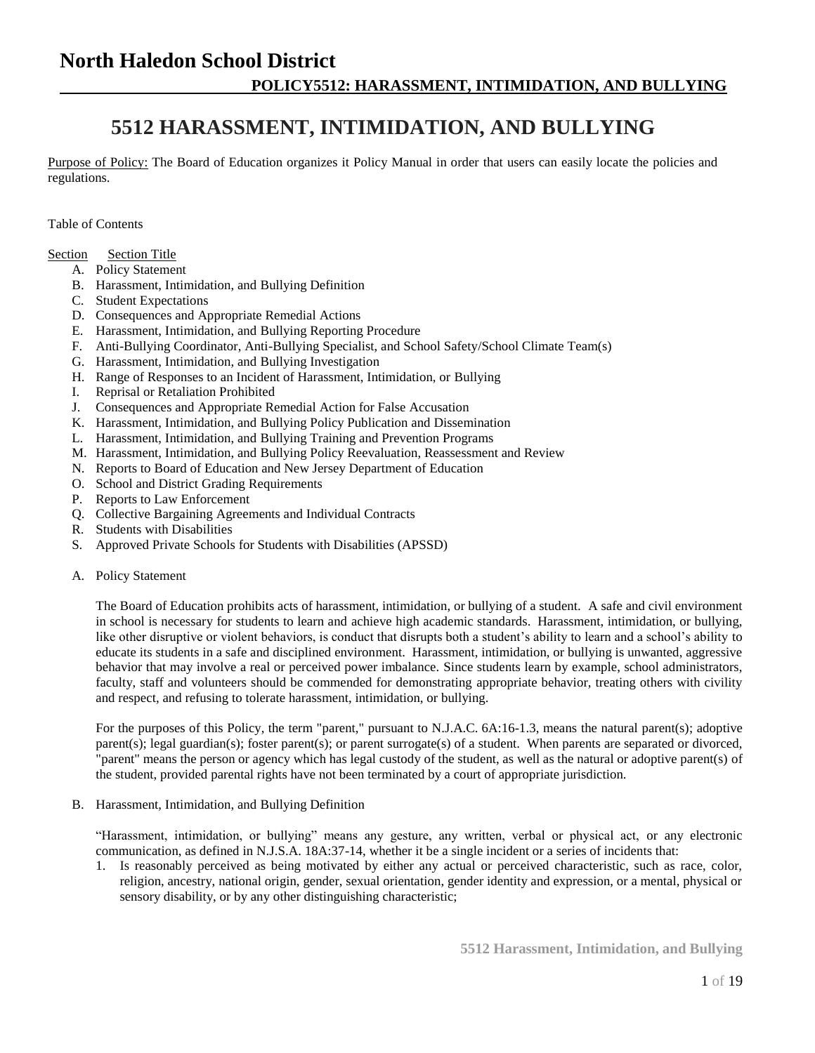# **5512 HARASSMENT, INTIMIDATION, AND BULLYING**

Purpose of Policy: The Board of Education organizes it Policy Manual in order that users can easily locate the policies and regulations.

Table of Contents

- Section Section Title
	- A. Policy Statement
	- B. Harassment, Intimidation, and Bullying Definition
	- C. Student Expectations
	- D. Consequences and Appropriate Remedial Actions
	- E. Harassment, Intimidation, and Bullying Reporting Procedure
	- F. Anti-Bullying Coordinator, Anti-Bullying Specialist, and School Safety/School Climate Team(s)
	- G. Harassment, Intimidation, and Bullying Investigation
	- H. Range of Responses to an Incident of Harassment, Intimidation, or Bullying
	- I. Reprisal or Retaliation Prohibited
	- J. Consequences and Appropriate Remedial Action for False Accusation
	- K. Harassment, Intimidation, and Bullying Policy Publication and Dissemination
	- L. Harassment, Intimidation, and Bullying Training and Prevention Programs
	- M. Harassment, Intimidation, and Bullying Policy Reevaluation, Reassessment and Review
	- N. Reports to Board of Education and New Jersey Department of Education
	- O. School and District Grading Requirements
	- P. Reports to Law Enforcement
	- Q. Collective Bargaining Agreements and Individual Contracts
	- R. Students with Disabilities
	- S. Approved Private Schools for Students with Disabilities (APSSD)
	- A. Policy Statement

The Board of Education prohibits acts of harassment, intimidation, or bullying of a student. A safe and civil environment in school is necessary for students to learn and achieve high academic standards. Harassment, intimidation, or bullying, like other disruptive or violent behaviors, is conduct that disrupts both a student's ability to learn and a school's ability to educate its students in a safe and disciplined environment. Harassment, intimidation, or bullying is unwanted, aggressive behavior that may involve a real or perceived power imbalance. Since students learn by example, school administrators, faculty, staff and volunteers should be commended for demonstrating appropriate behavior, treating others with civility and respect, and refusing to tolerate harassment, intimidation, or bullying.

For the purposes of this Policy, the term "parent," pursuant to N.J.A.C. 6A:16-1.3, means the natural parent(s); adoptive parent(s); legal guardian(s); foster parent(s); or parent surrogate(s) of a student. When parents are separated or divorced, "parent" means the person or agency which has legal custody of the student, as well as the natural or adoptive parent(s) of the student, provided parental rights have not been terminated by a court of appropriate jurisdiction.

B. Harassment, Intimidation, and Bullying Definition

"Harassment, intimidation, or bullying" means any gesture, any written, verbal or physical act, or any electronic communication, as defined in N.J.S.A. 18A:37-14, whether it be a single incident or a series of incidents that:

1. Is reasonably perceived as being motivated by either any actual or perceived characteristic, such as race, color, religion, ancestry, national origin, gender, sexual orientation, gender identity and expression, or a mental, physical or sensory disability, or by any other distinguishing characteristic;

**5512 Harassment, Intimidation, and Bullying**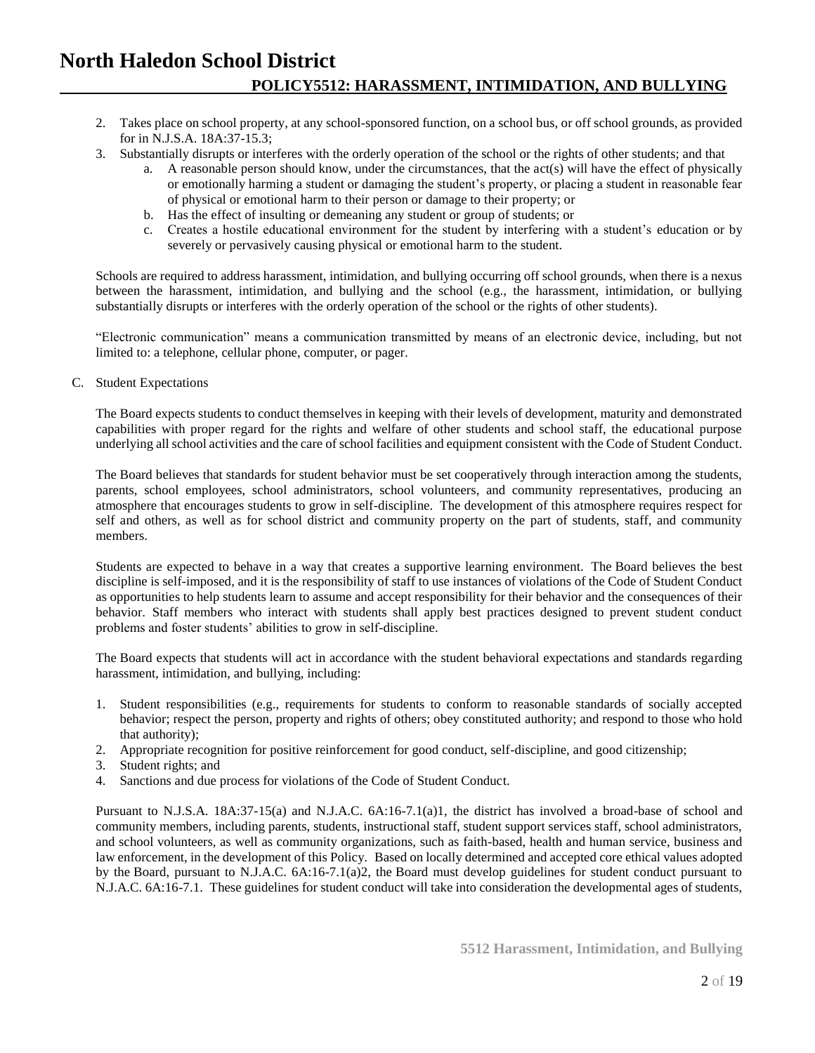- 2. Takes place on school property, at any school-sponsored function, on a school bus, or off school grounds, as provided for in N.J.S.A. 18A:37-15.3;
- 3. Substantially disrupts or interferes with the orderly operation of the school or the rights of other students; and that
	- a. A reasonable person should know, under the circumstances, that the act(s) will have the effect of physically or emotionally harming a student or damaging the student's property, or placing a student in reasonable fear of physical or emotional harm to their person or damage to their property; or
	- b. Has the effect of insulting or demeaning any student or group of students; or
	- c. Creates a hostile educational environment for the student by interfering with a student's education or by severely or pervasively causing physical or emotional harm to the student.

Schools are required to address harassment, intimidation, and bullying occurring off school grounds, when there is a nexus between the harassment, intimidation, and bullying and the school (e.g., the harassment, intimidation, or bullying substantially disrupts or interferes with the orderly operation of the school or the rights of other students).

"Electronic communication" means a communication transmitted by means of an electronic device, including, but not limited to: a telephone, cellular phone, computer, or pager.

C. Student Expectations

The Board expects students to conduct themselves in keeping with their levels of development, maturity and demonstrated capabilities with proper regard for the rights and welfare of other students and school staff, the educational purpose underlying all school activities and the care of school facilities and equipment consistent with the Code of Student Conduct.

The Board believes that standards for student behavior must be set cooperatively through interaction among the students, parents, school employees, school administrators, school volunteers, and community representatives, producing an atmosphere that encourages students to grow in self-discipline. The development of this atmosphere requires respect for self and others, as well as for school district and community property on the part of students, staff, and community members.

Students are expected to behave in a way that creates a supportive learning environment. The Board believes the best discipline is self-imposed, and it is the responsibility of staff to use instances of violations of the Code of Student Conduct as opportunities to help students learn to assume and accept responsibility for their behavior and the consequences of their behavior. Staff members who interact with students shall apply best practices designed to prevent student conduct problems and foster students' abilities to grow in self-discipline.

The Board expects that students will act in accordance with the student behavioral expectations and standards regarding harassment, intimidation, and bullying, including:

- 1. Student responsibilities (e.g., requirements for students to conform to reasonable standards of socially accepted behavior; respect the person, property and rights of others; obey constituted authority; and respond to those who hold that authority);
- 2. Appropriate recognition for positive reinforcement for good conduct, self-discipline, and good citizenship;
- 3. Student rights; and
- 4. Sanctions and due process for violations of the Code of Student Conduct.

Pursuant to N.J.S.A. 18A:37-15(a) and N.J.A.C. 6A:16-7.1(a)1, the district has involved a broad-base of school and community members, including parents, students, instructional staff, student support services staff, school administrators, and school volunteers, as well as community organizations, such as faith-based, health and human service, business and law enforcement, in the development of this Policy. Based on locally determined and accepted core ethical values adopted by the Board, pursuant to N.J.A.C. 6A:16-7.1(a)2, the Board must develop guidelines for student conduct pursuant to N.J.A.C. 6A:16-7.1. These guidelines for student conduct will take into consideration the developmental ages of students,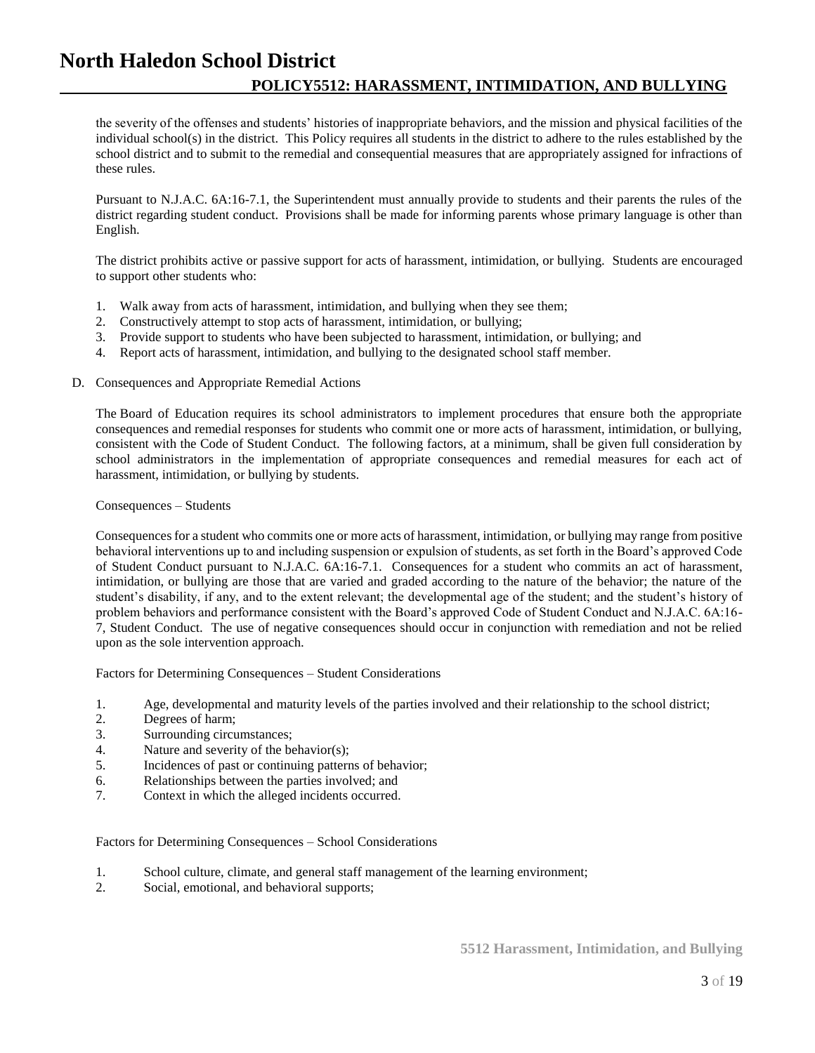the severity of the offenses and students' histories of inappropriate behaviors, and the mission and physical facilities of the individual school(s) in the district. This Policy requires all students in the district to adhere to the rules established by the school district and to submit to the remedial and consequential measures that are appropriately assigned for infractions of these rules.

Pursuant to N.J.A.C. 6A:16-7.1, the Superintendent must annually provide to students and their parents the rules of the district regarding student conduct. Provisions shall be made for informing parents whose primary language is other than English.

The district prohibits active or passive support for acts of harassment, intimidation, or bullying. Students are encouraged to support other students who:

- 1. Walk away from acts of harassment, intimidation, and bullying when they see them;
- 2. Constructively attempt to stop acts of harassment, intimidation, or bullying;
- 3. Provide support to students who have been subjected to harassment, intimidation, or bullying; and
- 4. Report acts of harassment, intimidation, and bullying to the designated school staff member.

## D. Consequences and Appropriate Remedial Actions

The Board of Education requires its school administrators to implement procedures that ensure both the appropriate consequences and remedial responses for students who commit one or more acts of harassment, intimidation, or bullying, consistent with the Code of Student Conduct. The following factors, at a minimum, shall be given full consideration by school administrators in the implementation of appropriate consequences and remedial measures for each act of harassment, intimidation, or bullying by students.

## Consequences – Students

Consequences for a student who commits one or more acts of harassment, intimidation, or bullying may range from positive behavioral interventions up to and including suspension or expulsion of students, as set forth in the Board's approved Code of Student Conduct pursuant to N.J.A.C. 6A:16-7.1. Consequences for a student who commits an act of harassment, intimidation, or bullying are those that are varied and graded according to the nature of the behavior; the nature of the student's disability, if any, and to the extent relevant; the developmental age of the student; and the student's history of problem behaviors and performance consistent with the Board's approved Code of Student Conduct and N.J.A.C. 6A:16- 7, Student Conduct. The use of negative consequences should occur in conjunction with remediation and not be relied upon as the sole intervention approach.

Factors for Determining Consequences – Student Considerations

- 1. Age, developmental and maturity levels of the parties involved and their relationship to the school district;
- 2. Degrees of harm;
- 3. Surrounding circumstances;
- 4. Nature and severity of the behavior(s);
- 5. Incidences of past or continuing patterns of behavior;
- 6. Relationships between the parties involved; and
- 7. Context in which the alleged incidents occurred.

## Factors for Determining Consequences – School Considerations

- 1. School culture, climate, and general staff management of the learning environment;
- 2. Social, emotional, and behavioral supports;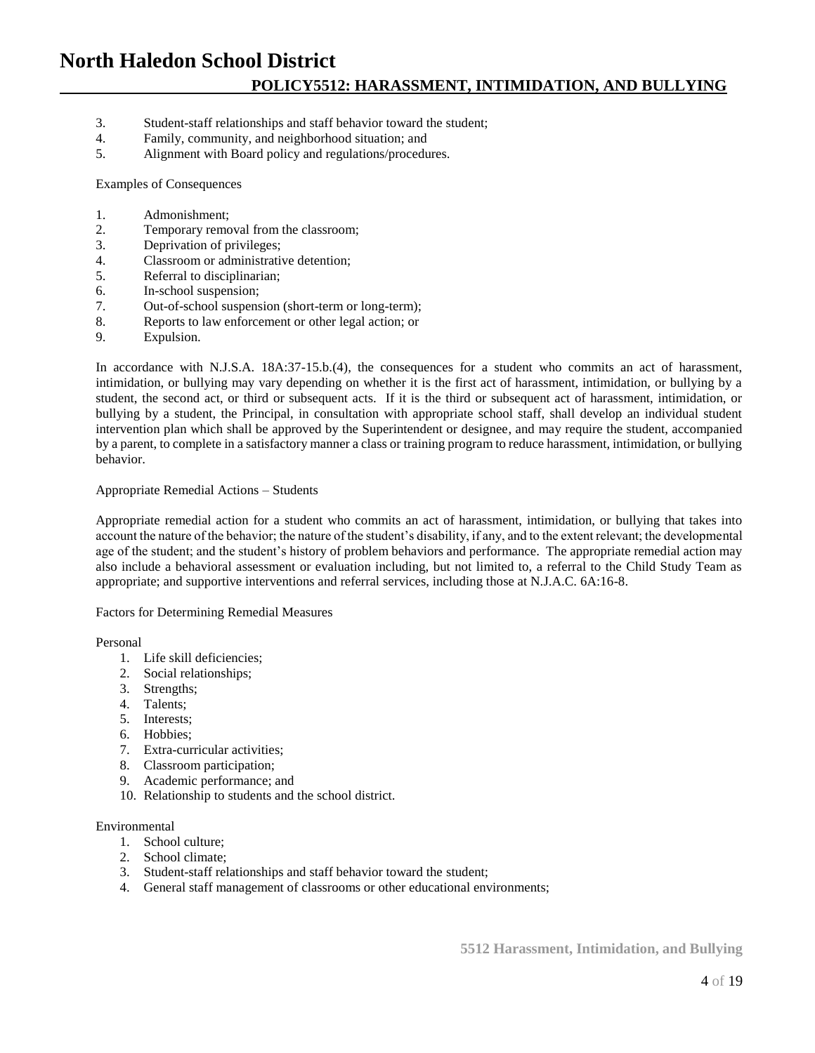- 3. Student-staff relationships and staff behavior toward the student;
- 4. Family, community, and neighborhood situation; and<br>5. Alignment with Board policy and regulations/procedu
- Alignment with Board policy and regulations/procedures.

Examples of Consequences

- 1. Admonishment;
- 2. Temporary removal from the classroom;
- 3. Deprivation of privileges;
- 4. Classroom or administrative detention;
- 5. Referral to disciplinarian;
- 6. In-school suspension;
- 7. Out-of-school suspension (short-term or long-term);
- 8. Reports to law enforcement or other legal action; or
- 9. Expulsion.

In accordance with N.J.S.A. 18A:37-15.b.(4), the consequences for a student who commits an act of harassment, intimidation, or bullying may vary depending on whether it is the first act of harassment, intimidation, or bullying by a student, the second act, or third or subsequent acts. If it is the third or subsequent act of harassment, intimidation, or bullying by a student, the Principal, in consultation with appropriate school staff, shall develop an individual student intervention plan which shall be approved by the Superintendent or designee, and may require the student, accompanied by a parent, to complete in a satisfactory manner a class or training program to reduce harassment, intimidation, or bullying behavior.

#### Appropriate Remedial Actions – Students

Appropriate remedial action for a student who commits an act of harassment, intimidation, or bullying that takes into account the nature of the behavior; the nature of the student's disability, if any, and to the extent relevant; the developmental age of the student; and the student's history of problem behaviors and performance. The appropriate remedial action may also include a behavioral assessment or evaluation including, but not limited to, a referral to the Child Study Team as appropriate; and supportive interventions and referral services, including those at N.J.A.C. 6A:16-8.

Factors for Determining Remedial Measures

Personal

- 1. Life skill deficiencies;
- 2. Social relationships;
- 3. Strengths;
- 4. Talents;
- 5. Interests;
- 6. Hobbies;
- 7. Extra-curricular activities;
- 8. Classroom participation;
- 9. Academic performance; and
- 10. Relationship to students and the school district.

#### Environmental

- 1. School culture;
- 2. School climate;
- 3. Student-staff relationships and staff behavior toward the student;
- 4. General staff management of classrooms or other educational environments;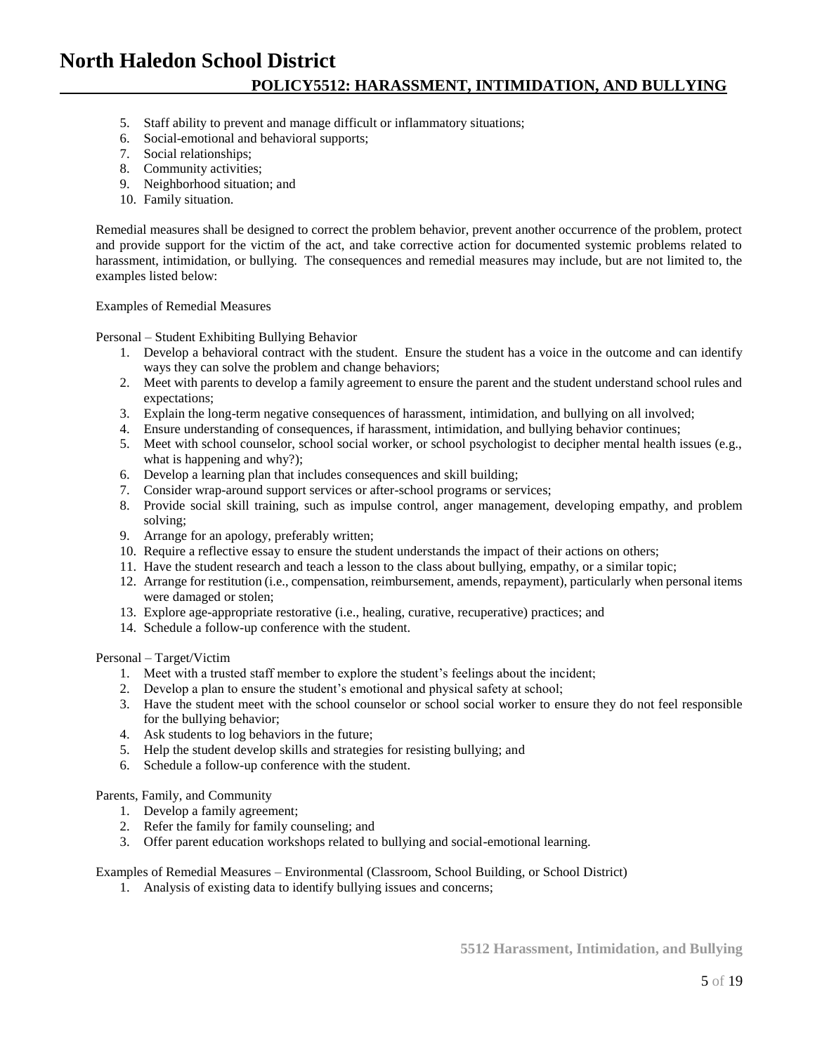- 5. Staff ability to prevent and manage difficult or inflammatory situations;
- 6. Social-emotional and behavioral supports;
- 7. Social relationships;
- 8. Community activities;
- 9. Neighborhood situation; and
- 10. Family situation.

Remedial measures shall be designed to correct the problem behavior, prevent another occurrence of the problem, protect and provide support for the victim of the act, and take corrective action for documented systemic problems related to harassment, intimidation, or bullying. The consequences and remedial measures may include, but are not limited to, the examples listed below:

#### Examples of Remedial Measures

Personal – Student Exhibiting Bullying Behavior

- 1. Develop a behavioral contract with the student. Ensure the student has a voice in the outcome and can identify ways they can solve the problem and change behaviors;
- 2. Meet with parents to develop a family agreement to ensure the parent and the student understand school rules and expectations;
- 3. Explain the long-term negative consequences of harassment, intimidation, and bullying on all involved;
- 4. Ensure understanding of consequences, if harassment, intimidation, and bullying behavior continues;
- 5. Meet with school counselor, school social worker, or school psychologist to decipher mental health issues (e.g., what is happening and why?);
- 6. Develop a learning plan that includes consequences and skill building;
- 7. Consider wrap-around support services or after-school programs or services;
- 8. Provide social skill training, such as impulse control, anger management, developing empathy, and problem solving;
- 9. Arrange for an apology, preferably written;
- 10. Require a reflective essay to ensure the student understands the impact of their actions on others;
- 11. Have the student research and teach a lesson to the class about bullying, empathy, or a similar topic;
- 12. Arrange for restitution (i.e., compensation, reimbursement, amends, repayment), particularly when personal items were damaged or stolen;
- 13. Explore age-appropriate restorative (i.e., healing, curative, recuperative) practices; and
- 14. Schedule a follow-up conference with the student.

Personal – Target/Victim

- 1. Meet with a trusted staff member to explore the student's feelings about the incident;
- 2. Develop a plan to ensure the student's emotional and physical safety at school;
- 3. Have the student meet with the school counselor or school social worker to ensure they do not feel responsible for the bullying behavior;
- 4. Ask students to log behaviors in the future;
- 5. Help the student develop skills and strategies for resisting bullying; and
- 6. Schedule a follow-up conference with the student.

## Parents, Family, and Community

- 1. Develop a family agreement;
- 2. Refer the family for family counseling; and
- 3. Offer parent education workshops related to bullying and social-emotional learning.

Examples of Remedial Measures – Environmental (Classroom, School Building, or School District)

1. Analysis of existing data to identify bullying issues and concerns;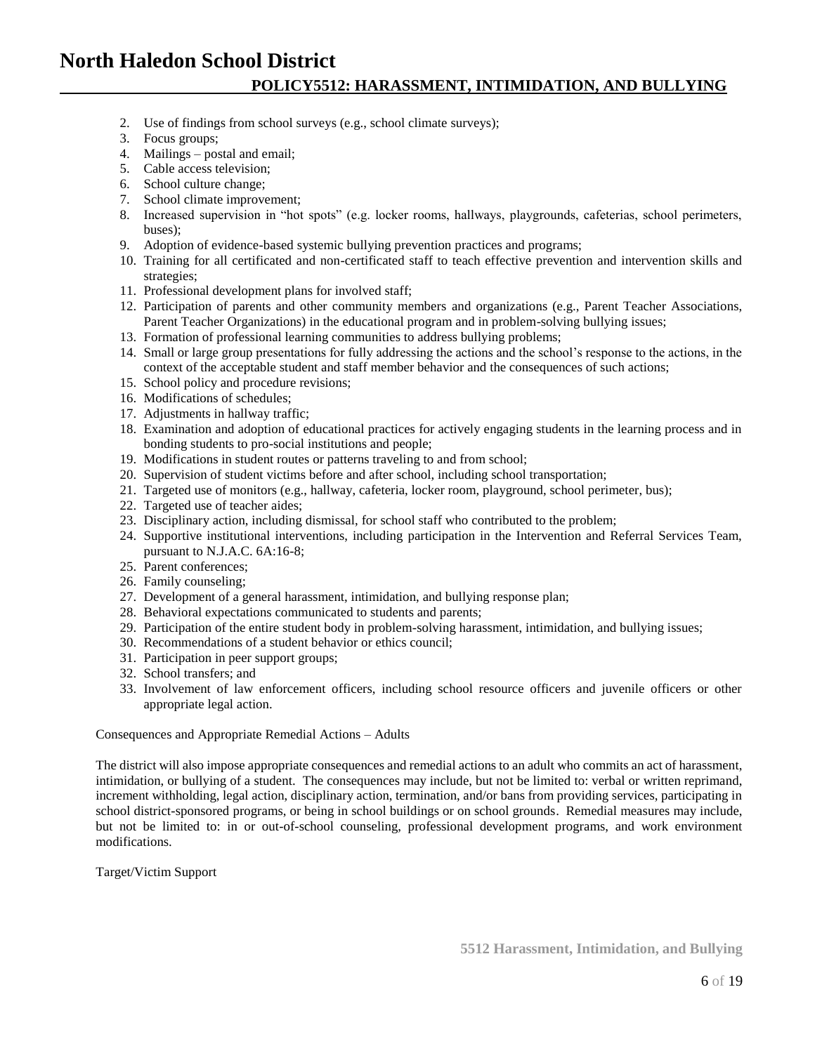## **POLICY5512: HARASSMENT, INTIMIDATION, AND BULLYING**

- 2. Use of findings from school surveys (e.g., school climate surveys);
- 3. Focus groups;
- 4. Mailings postal and email;
- 5. Cable access television;
- 6. School culture change;
- 7. School climate improvement;
- 8. Increased supervision in "hot spots" (e.g. locker rooms, hallways, playgrounds, cafeterias, school perimeters, buses);
- 9. Adoption of evidence-based systemic bullying prevention practices and programs;
- 10. Training for all certificated and non-certificated staff to teach effective prevention and intervention skills and strategies;
- 11. Professional development plans for involved staff;
- 12. Participation of parents and other community members and organizations (e.g., Parent Teacher Associations, Parent Teacher Organizations) in the educational program and in problem-solving bullying issues;
- 13. Formation of professional learning communities to address bullying problems;
- 14. Small or large group presentations for fully addressing the actions and the school's response to the actions, in the context of the acceptable student and staff member behavior and the consequences of such actions;
- 15. School policy and procedure revisions;
- 16. Modifications of schedules;
- 17. Adjustments in hallway traffic;
- 18. Examination and adoption of educational practices for actively engaging students in the learning process and in bonding students to pro-social institutions and people;
- 19. Modifications in student routes or patterns traveling to and from school;
- 20. Supervision of student victims before and after school, including school transportation;
- 21. Targeted use of monitors (e.g., hallway, cafeteria, locker room, playground, school perimeter, bus);
- 22. Targeted use of teacher aides;
- 23. Disciplinary action, including dismissal, for school staff who contributed to the problem;
- 24. Supportive institutional interventions, including participation in the Intervention and Referral Services Team, pursuant to N.J.A.C. 6A:16-8;
- 25. Parent conferences;
- 26. Family counseling;
- 27. Development of a general harassment, intimidation, and bullying response plan;
- 28. Behavioral expectations communicated to students and parents;
- 29. Participation of the entire student body in problem-solving harassment, intimidation, and bullying issues;
- 30. Recommendations of a student behavior or ethics council;
- 31. Participation in peer support groups;
- 32. School transfers; and
- 33. Involvement of law enforcement officers, including school resource officers and juvenile officers or other appropriate legal action.

Consequences and Appropriate Remedial Actions – Adults

The district will also impose appropriate consequences and remedial actions to an adult who commits an act of harassment, intimidation, or bullying of a student. The consequences may include, but not be limited to: verbal or written reprimand, increment withholding, legal action, disciplinary action, termination, and/or bans from providing services, participating in school district-sponsored programs, or being in school buildings or on school grounds. Remedial measures may include, but not be limited to: in or out-of-school counseling, professional development programs, and work environment modifications.

Target/Victim Support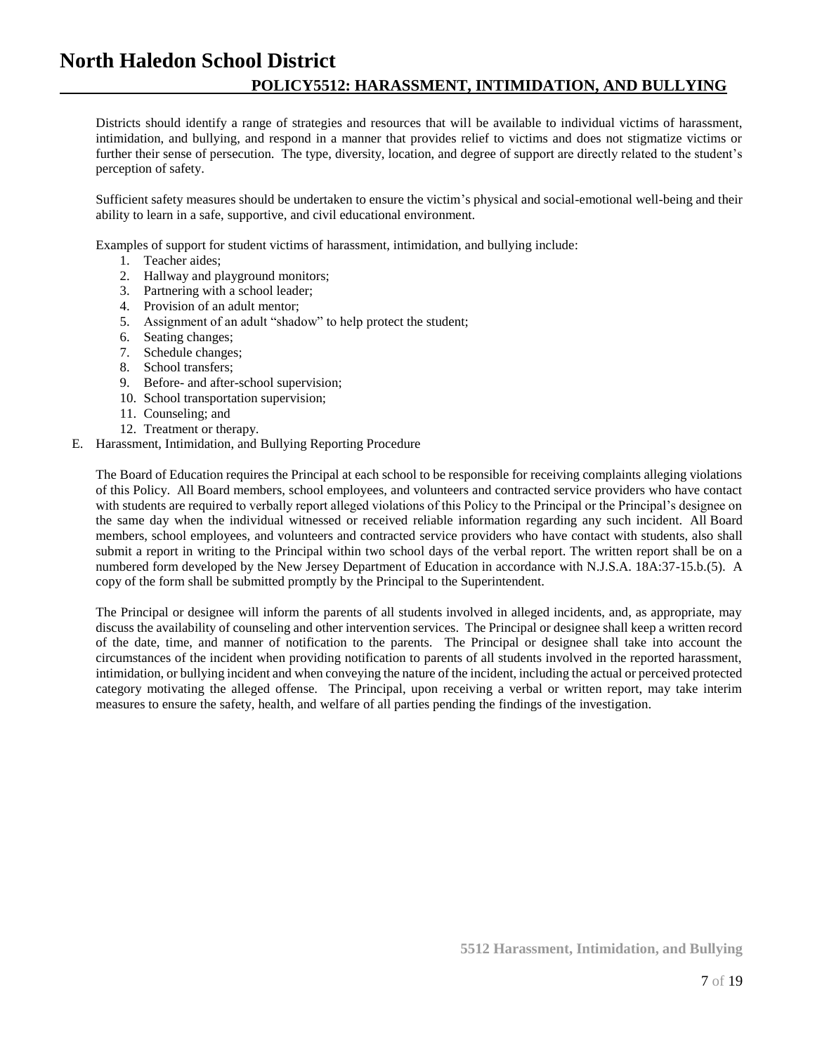Districts should identify a range of strategies and resources that will be available to individual victims of harassment, intimidation, and bullying, and respond in a manner that provides relief to victims and does not stigmatize victims or further their sense of persecution. The type, diversity, location, and degree of support are directly related to the student's perception of safety.

Sufficient safety measures should be undertaken to ensure the victim's physical and social-emotional well-being and their ability to learn in a safe, supportive, and civil educational environment.

Examples of support for student victims of harassment, intimidation, and bullying include:

- 1. Teacher aides;
- 2. Hallway and playground monitors;
- 3. Partnering with a school leader;
- 4. Provision of an adult mentor;
- 5. Assignment of an adult "shadow" to help protect the student;
- 6. Seating changes;
- 7. Schedule changes;
- 8. School transfers;
- 9. Before- and after-school supervision;
- 10. School transportation supervision;
- 11. Counseling; and
- 12. Treatment or therapy.
- E. Harassment, Intimidation, and Bullying Reporting Procedure

The Board of Education requires the Principal at each school to be responsible for receiving complaints alleging violations of this Policy. All Board members, school employees, and volunteers and contracted service providers who have contact with students are required to verbally report alleged violations of this Policy to the Principal or the Principal's designee on the same day when the individual witnessed or received reliable information regarding any such incident. All Board members, school employees, and volunteers and contracted service providers who have contact with students, also shall submit a report in writing to the Principal within two school days of the verbal report. The written report shall be on a numbered form developed by the New Jersey Department of Education in accordance with N.J.S.A. 18A:37-15.b.(5). A copy of the form shall be submitted promptly by the Principal to the Superintendent.

The Principal or designee will inform the parents of all students involved in alleged incidents, and, as appropriate, may discuss the availability of counseling and other intervention services. The Principal or designee shall keep a written record of the date, time, and manner of notification to the parents. The Principal or designee shall take into account the circumstances of the incident when providing notification to parents of all students involved in the reported harassment, intimidation, or bullying incident and when conveying the nature of the incident, including the actual or perceived protected category motivating the alleged offense. The Principal, upon receiving a verbal or written report, may take interim measures to ensure the safety, health, and welfare of all parties pending the findings of the investigation.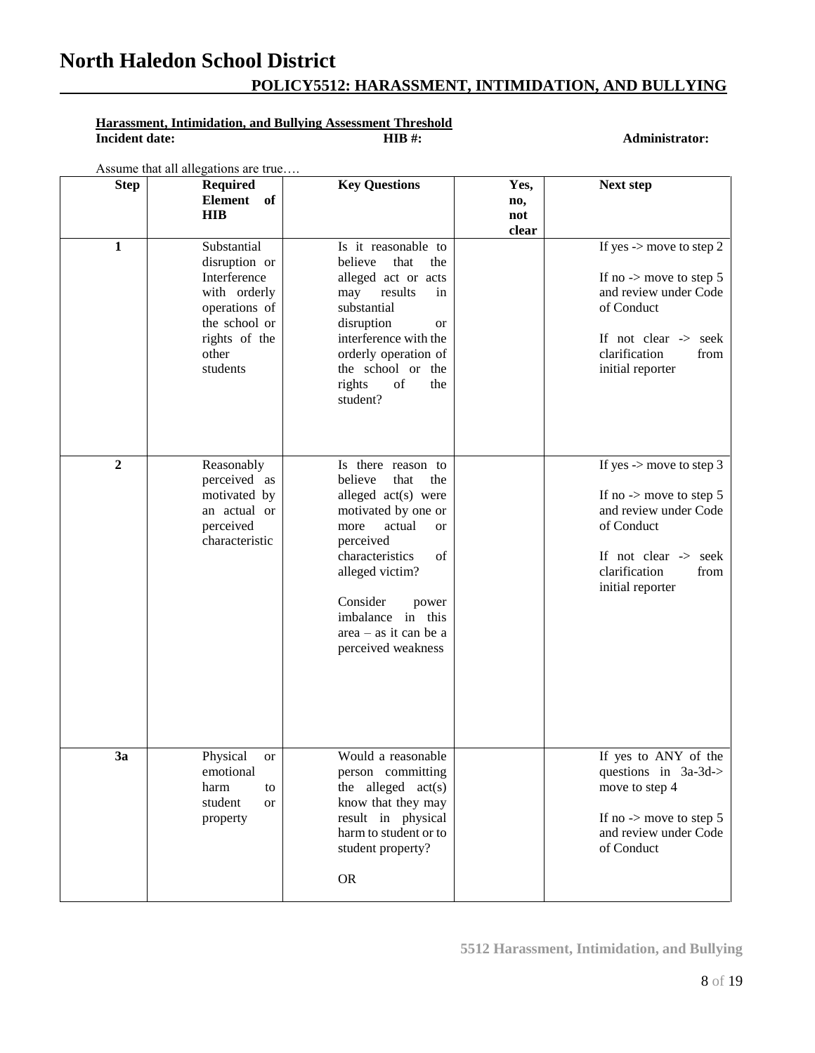## **POLICY5512: HARASSMENT, INTIMIDATION, AND BULLYING**

# **Harassment, Intimidation, and Bullying Assessment Threshold**<br>Incident date: HIB #:

 $Administrator:$ 

Assume that all allegations are true….

| <b>Step</b>    | <b>Required</b><br><b>Element</b><br>of<br><b>HIB</b>                                                                                | <b>Key Questions</b>                                                                                                                                                                                                                                                   | Yes,<br>no,<br>not<br>clear | Next step                                                                                                                                                                                        |
|----------------|--------------------------------------------------------------------------------------------------------------------------------------|------------------------------------------------------------------------------------------------------------------------------------------------------------------------------------------------------------------------------------------------------------------------|-----------------------------|--------------------------------------------------------------------------------------------------------------------------------------------------------------------------------------------------|
| $\mathbf{1}$   | Substantial<br>disruption or<br>Interference<br>with orderly<br>operations of<br>the school or<br>rights of the<br>other<br>students | Is it reasonable to<br>believe<br>that<br>the<br>alleged act or acts<br>results<br>may<br>in<br>substantial<br>disruption<br>or<br>interference with the<br>orderly operation of<br>the school or the<br>rights<br>of<br>the<br>student?                               |                             | If yes $\rightarrow$ move to step 2<br>If no $\rightarrow$ move to step 5<br>and review under Code<br>of Conduct<br>If not clear -> seek<br>clarification<br>from<br>initial reporter            |
| $\overline{2}$ | Reasonably<br>perceived as<br>motivated by<br>an actual or<br>perceived<br>characteristic                                            | Is there reason to<br>believe<br>that<br>the<br>alleged act(s) were<br>motivated by one or<br>actual<br>more<br>or<br>perceived<br>characteristics<br>of<br>alleged victim?<br>Consider<br>power<br>imbalance in this<br>$area - as it can be a$<br>perceived weakness |                             | If yes $\rightarrow$ move to step 3<br>If no $\rightarrow$ move to step 5<br>and review under Code<br>of Conduct<br>If not clear $\rightarrow$ seek<br>clarification<br>from<br>initial reporter |
| 3a             | Physical<br><b>or</b><br>emotional<br>harm<br>to<br>student<br>or<br>property                                                        | Would a reasonable<br>person committing<br>the alleged $act(s)$<br>know that they may<br>result in physical<br>harm to student or to<br>student property?<br><b>OR</b>                                                                                                 |                             | If yes to ANY of the<br>questions in 3a-3d-><br>move to step 4<br>If no $\rightarrow$ move to step 5<br>and review under Code<br>of Conduct                                                      |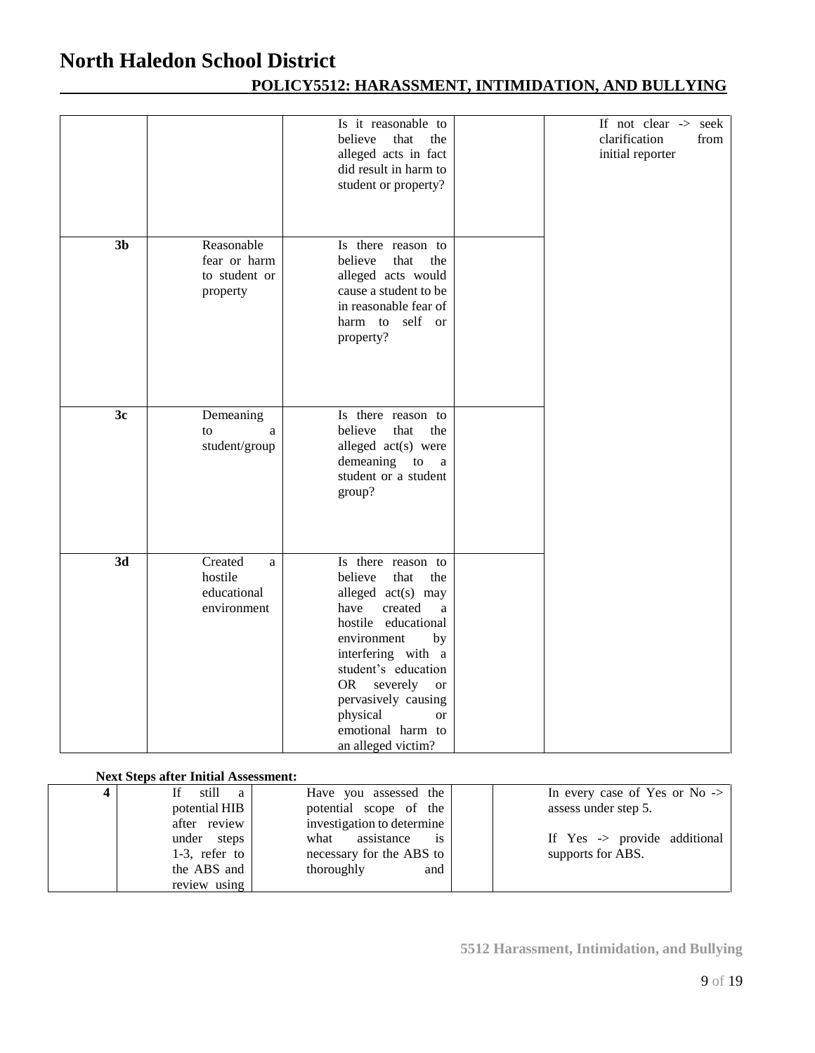## **POLICY5512: HARASSMENT, INTIMIDATION, AND BULLYING**

|                 |                                                         | Is it reasonable to<br>believe<br>that<br>the<br>alleged acts in fact<br>did result in harm to<br>student or property?                                                                                                                                                                                               | If not clear -> seek<br>clarification<br>from<br>initial reporter |
|-----------------|---------------------------------------------------------|----------------------------------------------------------------------------------------------------------------------------------------------------------------------------------------------------------------------------------------------------------------------------------------------------------------------|-------------------------------------------------------------------|
| 3 <sub>b</sub>  | Reasonable<br>fear or harm<br>to student or<br>property | Is there reason to<br>believe<br>that<br>the<br>alleged acts would<br>cause a student to be<br>in reasonable fear of<br>self or<br>harm to<br>property?                                                                                                                                                              |                                                                   |
| 3c              | Demeaning<br>to<br>a<br>student/group                   | Is there reason to<br>believe<br>that<br>the<br>alleged act(s) were<br>demeaning<br>${\rm to}$<br>$\rm{a}$<br>student or a student<br>group?                                                                                                                                                                         |                                                                   |
| $\overline{3d}$ | Created<br>a<br>hostile<br>educational<br>environment   | Is there reason to<br>believe<br>that<br>the<br>alleged act(s) may<br>created<br>have<br>a<br>hostile educational<br>environment<br>by<br>interfering with a<br>student's education<br><b>OR</b><br>severely<br><b>or</b><br>pervasively causing<br>physical<br><b>or</b><br>emotional harm to<br>an alleged victim? |                                                                   |

## **Next Steps after Initial Assessment:**

| 4 | still<br>a       | Have you assessed the                | In every case of Yes or No $\rightarrow$ |
|---|------------------|--------------------------------------|------------------------------------------|
|   | potential HIB    | potential scope of the               | assess under step 5.                     |
|   | after review     | investigation to determine           |                                          |
|   | under steps      | assistance<br>what<br>$\overline{1}$ | If $Yes \rightarrow provide additional$  |
|   | $1-3$ , refer to | necessary for the ABS to             | supports for ABS.                        |
|   | the ABS and      | thoroughly<br>and                    |                                          |
|   | review using     |                                      |                                          |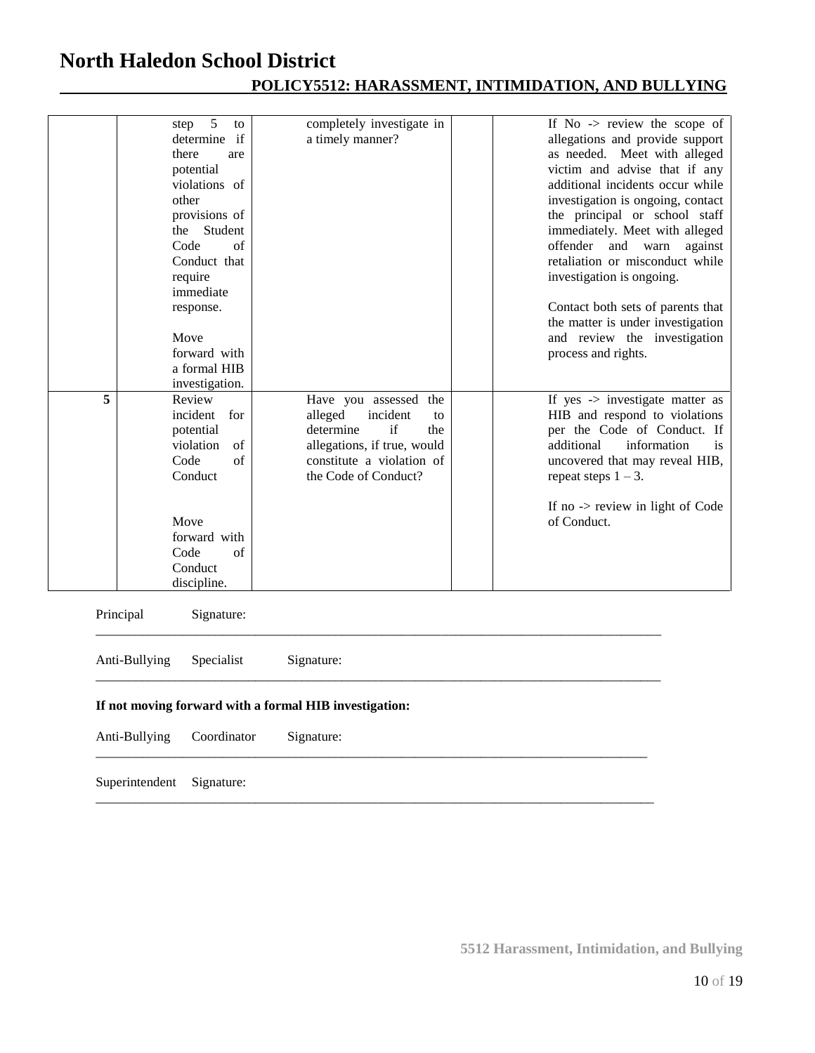|   | 5<br>step<br>to<br>determine if<br>there<br>are<br>potential<br>violations of<br>other<br>provisions of<br>Student<br>the<br>Code<br>of<br>Conduct that<br>require<br>immediate<br>response.<br>Move<br>forward with<br>a formal HIB<br>investigation. | completely investigate in<br>a timely manner?                                                                                                                    | If $No \rightarrow$ review the scope of<br>allegations and provide support<br>as needed. Meet with alleged<br>victim and advise that if any<br>additional incidents occur while<br>investigation is ongoing, contact<br>the principal or school staff<br>immediately. Meet with alleged<br>offender<br>and warn<br>against<br>retaliation or misconduct while<br>investigation is ongoing.<br>Contact both sets of parents that<br>the matter is under investigation<br>and review the investigation<br>process and rights. |
|---|--------------------------------------------------------------------------------------------------------------------------------------------------------------------------------------------------------------------------------------------------------|------------------------------------------------------------------------------------------------------------------------------------------------------------------|-----------------------------------------------------------------------------------------------------------------------------------------------------------------------------------------------------------------------------------------------------------------------------------------------------------------------------------------------------------------------------------------------------------------------------------------------------------------------------------------------------------------------------|
| 5 | Review<br>incident<br>for<br>potential<br>violation<br>of<br>Code<br>of<br>Conduct<br>Move<br>forward with<br>of<br>Code<br>Conduct<br>discipline.                                                                                                     | Have you assessed the<br>incident<br>alleged<br>to<br>determine<br>if<br>the<br>allegations, if true, would<br>constitute a violation of<br>the Code of Conduct? | If yes -> investigate matter as<br>HIB and respond to violations<br>per the Code of Conduct. If<br>additional<br>information<br>is<br>uncovered that may reveal HIB,<br>repeat steps $1 - 3$ .<br>If no -> review in light of Code<br>of Conduct.                                                                                                                                                                                                                                                                           |
|   | Principal<br>Signature:                                                                                                                                                                                                                                |                                                                                                                                                                  |                                                                                                                                                                                                                                                                                                                                                                                                                                                                                                                             |
|   | Anti-Bullying<br>Specialist                                                                                                                                                                                                                            | Signature:                                                                                                                                                       |                                                                                                                                                                                                                                                                                                                                                                                                                                                                                                                             |
|   | If not moving forward with a formal HIB investigation:                                                                                                                                                                                                 |                                                                                                                                                                  |                                                                                                                                                                                                                                                                                                                                                                                                                                                                                                                             |
|   | Anti-Bullying<br>Coordinator                                                                                                                                                                                                                           | Signature:                                                                                                                                                       |                                                                                                                                                                                                                                                                                                                                                                                                                                                                                                                             |
|   | Superintendent<br>Signature:                                                                                                                                                                                                                           |                                                                                                                                                                  |                                                                                                                                                                                                                                                                                                                                                                                                                                                                                                                             |

## **POLICY5512: HARASSMENT, INTIMIDATION, AND BULLYING**

**5512 Harassment, Intimidation, and Bullying**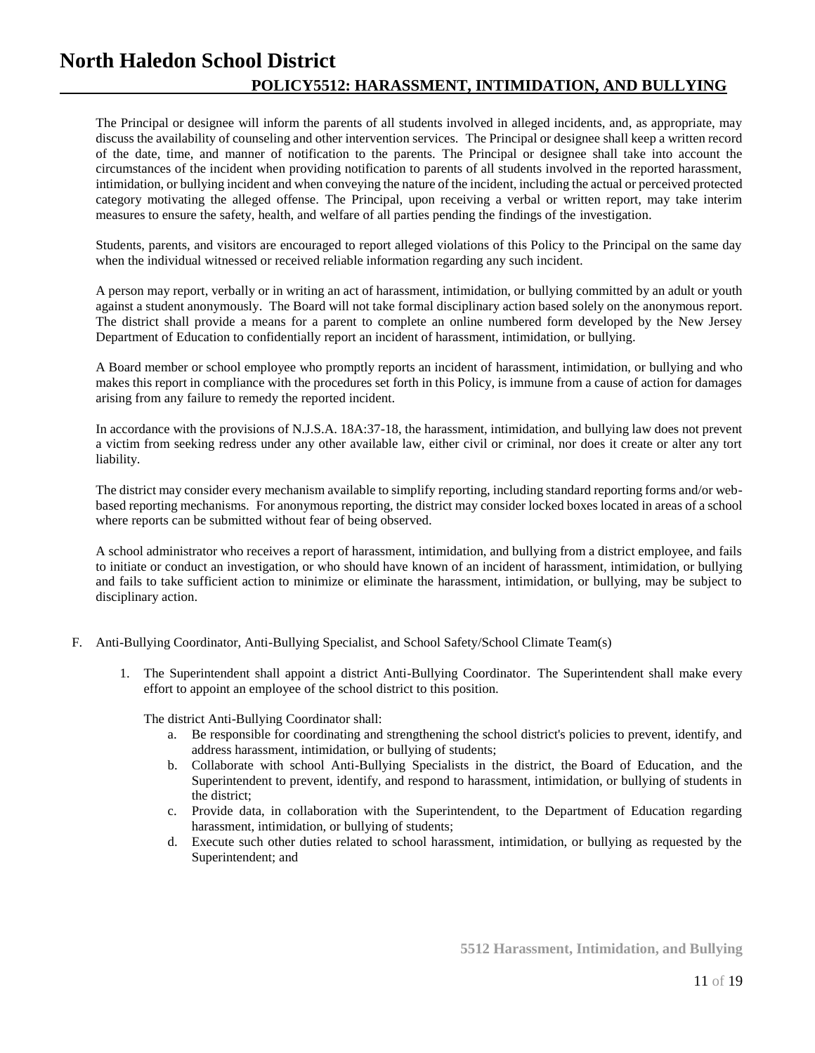The Principal or designee will inform the parents of all students involved in alleged incidents, and, as appropriate, may discuss the availability of counseling and other intervention services. The Principal or designee shall keep a written record of the date, time, and manner of notification to the parents. The Principal or designee shall take into account the circumstances of the incident when providing notification to parents of all students involved in the reported harassment, intimidation, or bullying incident and when conveying the nature of the incident, including the actual or perceived protected category motivating the alleged offense. The Principal, upon receiving a verbal or written report, may take interim measures to ensure the safety, health, and welfare of all parties pending the findings of the investigation.

Students, parents, and visitors are encouraged to report alleged violations of this Policy to the Principal on the same day when the individual witnessed or received reliable information regarding any such incident.

A person may report, verbally or in writing an act of harassment, intimidation, or bullying committed by an adult or youth against a student anonymously. The Board will not take formal disciplinary action based solely on the anonymous report. The district shall provide a means for a parent to complete an online numbered form developed by the New Jersey Department of Education to confidentially report an incident of harassment, intimidation, or bullying.

A Board member or school employee who promptly reports an incident of harassment, intimidation, or bullying and who makes this report in compliance with the procedures set forth in this Policy, is immune from a cause of action for damages arising from any failure to remedy the reported incident.

In accordance with the provisions of N.J.S.A. 18A:37-18, the harassment, intimidation, and bullying law does not prevent a victim from seeking redress under any other available law, either civil or criminal, nor does it create or alter any tort liability.

The district may consider every mechanism available to simplify reporting, including standard reporting forms and/or webbased reporting mechanisms. For anonymous reporting, the district may consider locked boxes located in areas of a school where reports can be submitted without fear of being observed.

A school administrator who receives a report of harassment, intimidation, and bullying from a district employee, and fails to initiate or conduct an investigation, or who should have known of an incident of harassment, intimidation, or bullying and fails to take sufficient action to minimize or eliminate the harassment, intimidation, or bullying, may be subject to disciplinary action.

- F. Anti-Bullying Coordinator, Anti-Bullying Specialist, and School Safety/School Climate Team(s)
	- 1. The Superintendent shall appoint a district Anti-Bullying Coordinator. The Superintendent shall make every effort to appoint an employee of the school district to this position.

The district Anti-Bullying Coordinator shall:

- a. Be responsible for coordinating and strengthening the school district's policies to prevent, identify, and address harassment, intimidation, or bullying of students;
- b. Collaborate with school Anti-Bullying Specialists in the district, the Board of Education, and the Superintendent to prevent, identify, and respond to harassment, intimidation, or bullying of students in the district;
- c. Provide data, in collaboration with the Superintendent, to the Department of Education regarding harassment, intimidation, or bullying of students;
- d. Execute such other duties related to school harassment, intimidation, or bullying as requested by the Superintendent; and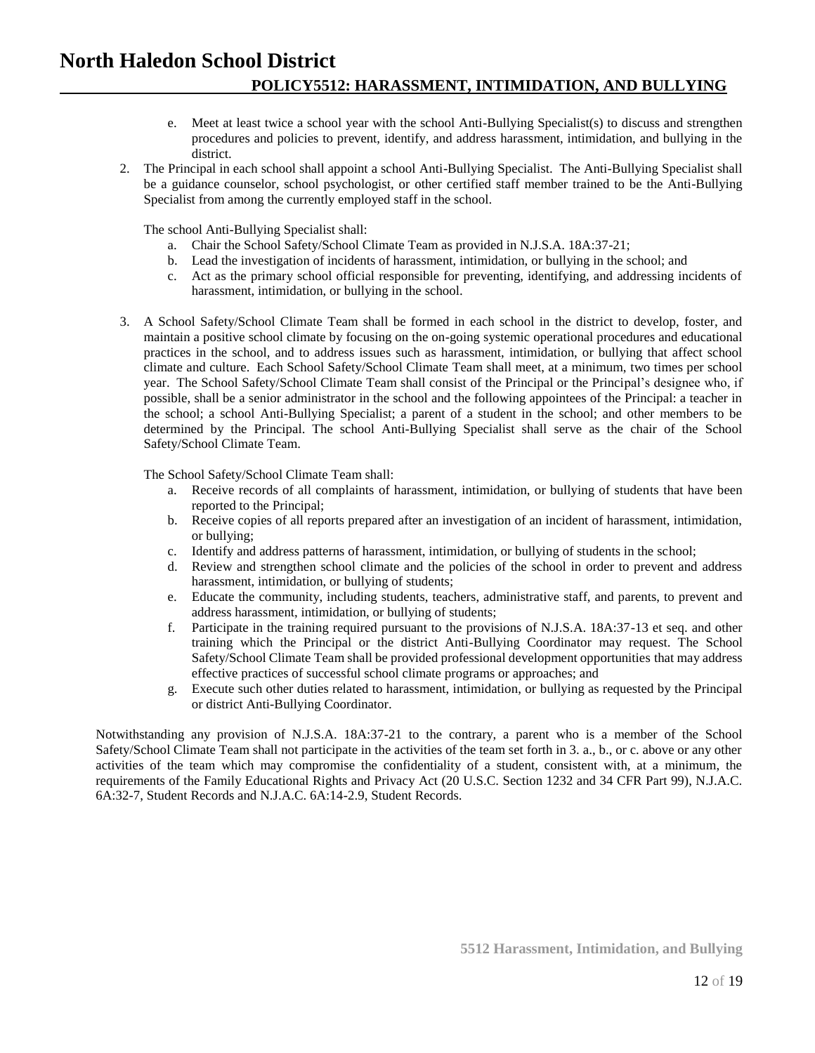- e. Meet at least twice a school year with the school Anti-Bullying Specialist(s) to discuss and strengthen procedures and policies to prevent, identify, and address harassment, intimidation, and bullying in the district.
- 2. The Principal in each school shall appoint a school Anti-Bullying Specialist. The Anti-Bullying Specialist shall be a guidance counselor, school psychologist, or other certified staff member trained to be the Anti-Bullying Specialist from among the currently employed staff in the school.

The school Anti-Bullying Specialist shall:

- a. Chair the School Safety/School Climate Team as provided in N.J.S.A. 18A:37-21;
- b. Lead the investigation of incidents of harassment, intimidation, or bullying in the school; and
- c. Act as the primary school official responsible for preventing, identifying, and addressing incidents of harassment, intimidation, or bullying in the school.
- 3. A School Safety/School Climate Team shall be formed in each school in the district to develop, foster, and maintain a positive school climate by focusing on the on-going systemic operational procedures and educational practices in the school, and to address issues such as harassment, intimidation, or bullying that affect school climate and culture. Each School Safety/School Climate Team shall meet, at a minimum, two times per school year. The School Safety/School Climate Team shall consist of the Principal or the Principal's designee who, if possible, shall be a senior administrator in the school and the following appointees of the Principal: a teacher in the school; a school Anti-Bullying Specialist; a parent of a student in the school; and other members to be determined by the Principal. The school Anti-Bullying Specialist shall serve as the chair of the School Safety/School Climate Team.

The School Safety/School Climate Team shall:

- a. Receive records of all complaints of harassment, intimidation, or bullying of students that have been reported to the Principal;
- b. Receive copies of all reports prepared after an investigation of an incident of harassment, intimidation, or bullying;
- c. Identify and address patterns of harassment, intimidation, or bullying of students in the school;
- d. Review and strengthen school climate and the policies of the school in order to prevent and address harassment, intimidation, or bullying of students;
- e. Educate the community, including students, teachers, administrative staff, and parents, to prevent and address harassment, intimidation, or bullying of students;
- f. Participate in the training required pursuant to the provisions of N.J.S.A. 18A:37-13 et seq. and other training which the Principal or the district Anti-Bullying Coordinator may request. The School Safety/School Climate Team shall be provided professional development opportunities that may address effective practices of successful school climate programs or approaches; and
- g. Execute such other duties related to harassment, intimidation, or bullying as requested by the Principal or district Anti-Bullying Coordinator.

Notwithstanding any provision of N.J.S.A. 18A:37-21 to the contrary, a parent who is a member of the School Safety/School Climate Team shall not participate in the activities of the team set forth in 3. a., b., or c. above or any other activities of the team which may compromise the confidentiality of a student, consistent with, at a minimum, the requirements of the Family Educational Rights and Privacy Act (20 U.S.C. Section 1232 and 34 CFR Part 99), N.J.A.C. 6A:32-7, Student Records and N.J.A.C. 6A:14-2.9, Student Records.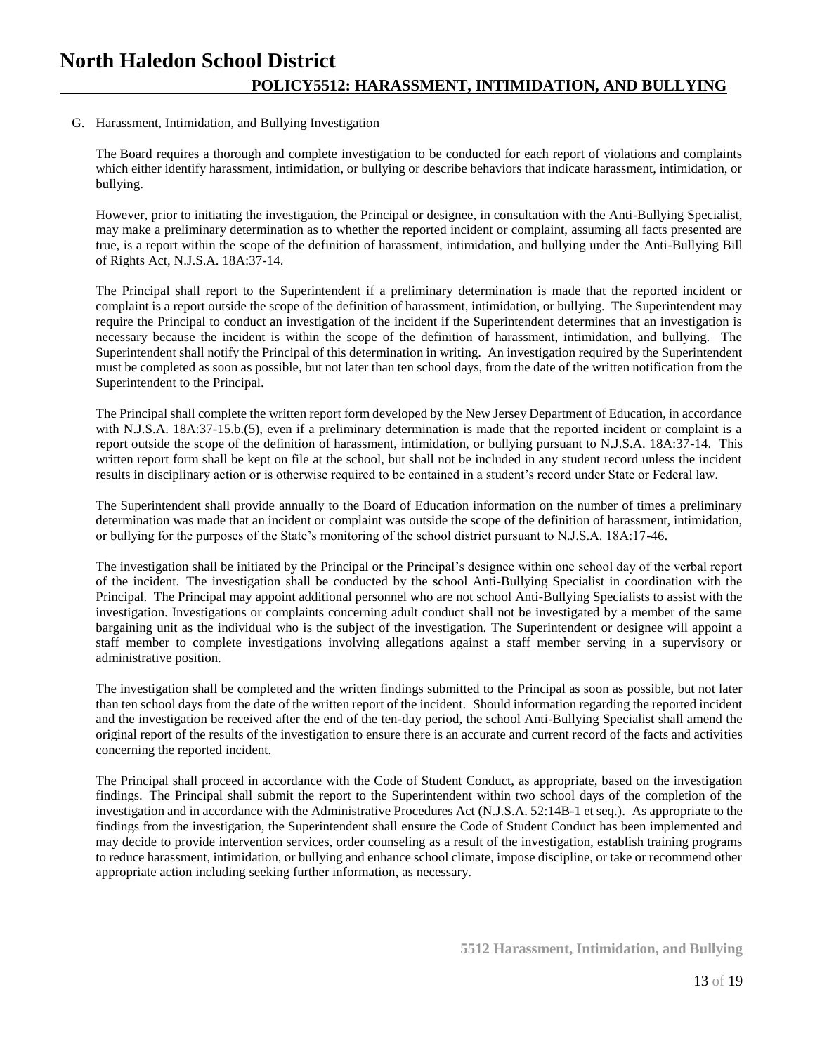## G. Harassment, Intimidation, and Bullying Investigation

The Board requires a thorough and complete investigation to be conducted for each report of violations and complaints which either identify harassment, intimidation, or bullying or describe behaviors that indicate harassment, intimidation, or bullying.

However, prior to initiating the investigation, the Principal or designee, in consultation with the Anti-Bullying Specialist, may make a preliminary determination as to whether the reported incident or complaint, assuming all facts presented are true, is a report within the scope of the definition of harassment, intimidation, and bullying under the Anti-Bullying Bill of Rights Act, N.J.S.A. 18A:37-14.

The Principal shall report to the Superintendent if a preliminary determination is made that the reported incident or complaint is a report outside the scope of the definition of harassment, intimidation, or bullying. The Superintendent may require the Principal to conduct an investigation of the incident if the Superintendent determines that an investigation is necessary because the incident is within the scope of the definition of harassment, intimidation, and bullying. The Superintendent shall notify the Principal of this determination in writing. An investigation required by the Superintendent must be completed as soon as possible, but not later than ten school days, from the date of the written notification from the Superintendent to the Principal.

The Principal shall complete the written report form developed by the New Jersey Department of Education, in accordance with N.J.S.A. 18A:37-15.b.(5), even if a preliminary determination is made that the reported incident or complaint is a report outside the scope of the definition of harassment, intimidation, or bullying pursuant to N.J.S.A. 18A:37-14. This written report form shall be kept on file at the school, but shall not be included in any student record unless the incident results in disciplinary action or is otherwise required to be contained in a student's record under State or Federal law.

The Superintendent shall provide annually to the Board of Education information on the number of times a preliminary determination was made that an incident or complaint was outside the scope of the definition of harassment, intimidation, or bullying for the purposes of the State's monitoring of the school district pursuant to N.J.S.A. 18A:17-46.

The investigation shall be initiated by the Principal or the Principal's designee within one school day of the verbal report of the incident. The investigation shall be conducted by the school Anti-Bullying Specialist in coordination with the Principal. The Principal may appoint additional personnel who are not school Anti-Bullying Specialists to assist with the investigation. Investigations or complaints concerning adult conduct shall not be investigated by a member of the same bargaining unit as the individual who is the subject of the investigation. The Superintendent or designee will appoint a staff member to complete investigations involving allegations against a staff member serving in a supervisory or administrative position.

The investigation shall be completed and the written findings submitted to the Principal as soon as possible, but not later than ten school days from the date of the written report of the incident. Should information regarding the reported incident and the investigation be received after the end of the ten-day period, the school Anti-Bullying Specialist shall amend the original report of the results of the investigation to ensure there is an accurate and current record of the facts and activities concerning the reported incident.

The Principal shall proceed in accordance with the Code of Student Conduct, as appropriate, based on the investigation findings. The Principal shall submit the report to the Superintendent within two school days of the completion of the investigation and in accordance with the Administrative Procedures Act (N.J.S.A. 52:14B-1 et seq.). As appropriate to the findings from the investigation, the Superintendent shall ensure the Code of Student Conduct has been implemented and may decide to provide intervention services, order counseling as a result of the investigation, establish training programs to reduce harassment, intimidation, or bullying and enhance school climate, impose discipline, or take or recommend other appropriate action including seeking further information, as necessary.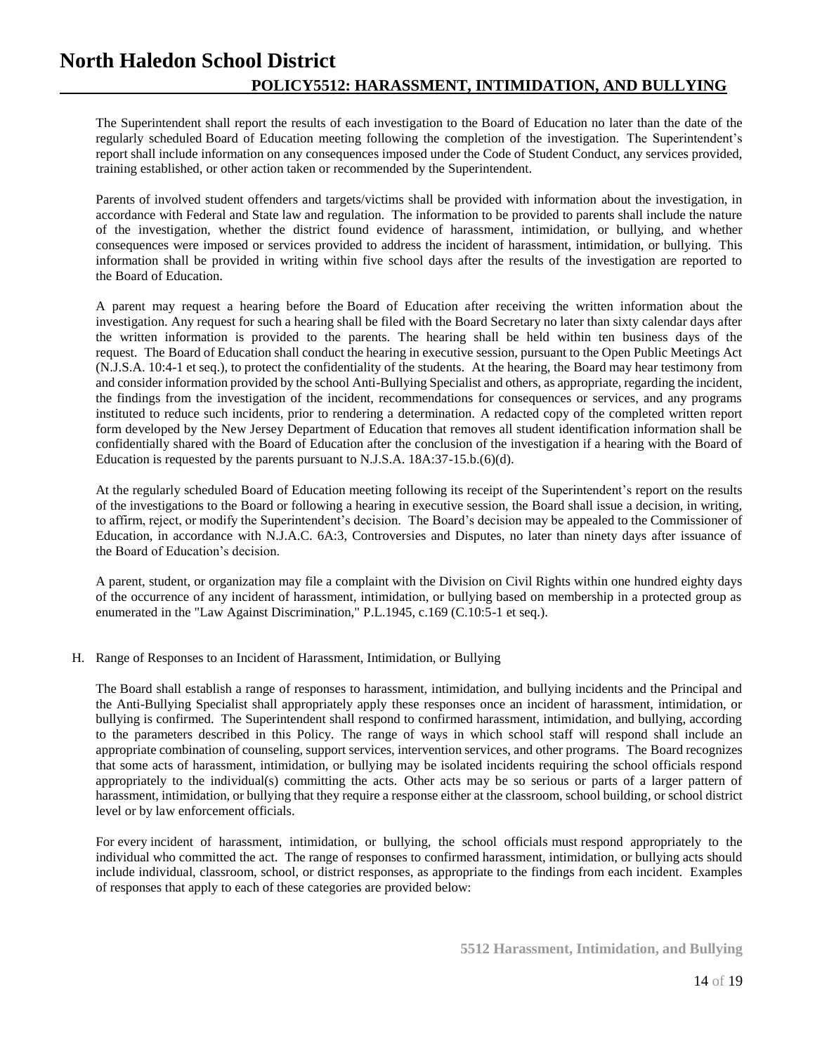The Superintendent shall report the results of each investigation to the Board of Education no later than the date of the regularly scheduled Board of Education meeting following the completion of the investigation. The Superintendent's report shall include information on any consequences imposed under the Code of Student Conduct, any services provided, training established, or other action taken or recommended by the Superintendent.

Parents of involved student offenders and targets/victims shall be provided with information about the investigation, in accordance with Federal and State law and regulation. The information to be provided to parents shall include the nature of the investigation, whether the district found evidence of harassment, intimidation, or bullying, and whether consequences were imposed or services provided to address the incident of harassment, intimidation, or bullying. This information shall be provided in writing within five school days after the results of the investigation are reported to the Board of Education.

A parent may request a hearing before the Board of Education after receiving the written information about the investigation. Any request for such a hearing shall be filed with the Board Secretary no later than sixty calendar days after the written information is provided to the parents. The hearing shall be held within ten business days of the request. The Board of Education shall conduct the hearing in executive session, pursuant to the Open Public Meetings Act (N.J.S.A. 10:4-1 et seq.), to protect the confidentiality of the students. At the hearing, the Board may hear testimony from and consider information provided by the school Anti-Bullying Specialist and others, as appropriate, regarding the incident, the findings from the investigation of the incident, recommendations for consequences or services, and any programs instituted to reduce such incidents, prior to rendering a determination. A redacted copy of the completed written report form developed by the New Jersey Department of Education that removes all student identification information shall be confidentially shared with the Board of Education after the conclusion of the investigation if a hearing with the Board of Education is requested by the parents pursuant to N.J.S.A. 18A:37-15.b.(6)(d).

At the regularly scheduled Board of Education meeting following its receipt of the Superintendent's report on the results of the investigations to the Board or following a hearing in executive session, the Board shall issue a decision, in writing, to affirm, reject, or modify the Superintendent's decision. The Board's decision may be appealed to the Commissioner of Education, in accordance with N.J.A.C. 6A:3, Controversies and Disputes, no later than ninety days after issuance of the Board of Education's decision.

A parent, student, or organization may file a complaint with the Division on Civil Rights within one hundred eighty days of the occurrence of any incident of harassment, intimidation, or bullying based on membership in a protected group as enumerated in the "Law Against Discrimination," P.L.1945, c.169 (C.10:5-1 et seq.).

## H. Range of Responses to an Incident of Harassment, Intimidation, or Bullying

The Board shall establish a range of responses to harassment, intimidation, and bullying incidents and the Principal and the Anti-Bullying Specialist shall appropriately apply these responses once an incident of harassment, intimidation, or bullying is confirmed. The Superintendent shall respond to confirmed harassment, intimidation, and bullying, according to the parameters described in this Policy. The range of ways in which school staff will respond shall include an appropriate combination of counseling, support services, intervention services, and other programs. The Board recognizes that some acts of harassment, intimidation, or bullying may be isolated incidents requiring the school officials respond appropriately to the individual(s) committing the acts. Other acts may be so serious or parts of a larger pattern of harassment, intimidation, or bullying that they require a response either at the classroom, school building, or school district level or by law enforcement officials.

For every incident of harassment, intimidation, or bullying, the school officials must respond appropriately to the individual who committed the act. The range of responses to confirmed harassment, intimidation, or bullying acts should include individual, classroom, school, or district responses, as appropriate to the findings from each incident. Examples of responses that apply to each of these categories are provided below: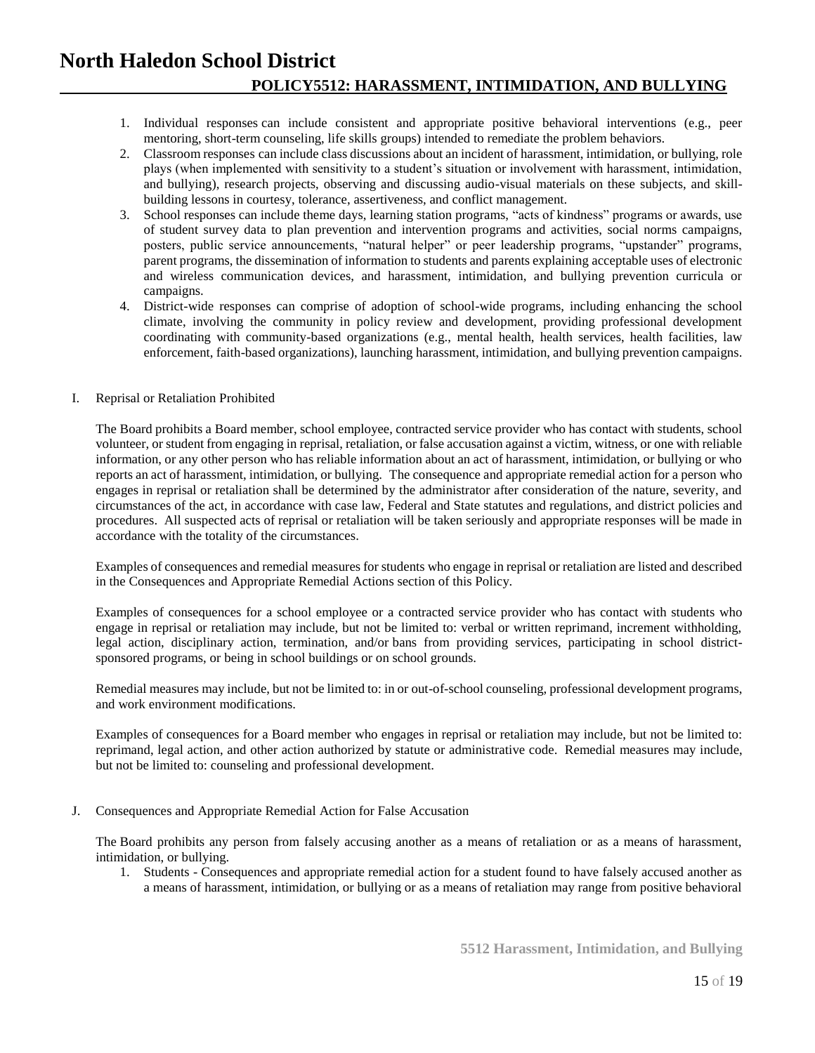- 1. Individual responses can include consistent and appropriate positive behavioral interventions (e.g., peer mentoring, short-term counseling, life skills groups) intended to remediate the problem behaviors.
- 2. Classroom responses can include class discussions about an incident of harassment, intimidation, or bullying, role plays (when implemented with sensitivity to a student's situation or involvement with harassment, intimidation, and bullying), research projects, observing and discussing audio-visual materials on these subjects, and skillbuilding lessons in courtesy, tolerance, assertiveness, and conflict management.
- 3. School responses can include theme days, learning station programs, "acts of kindness" programs or awards, use of student survey data to plan prevention and intervention programs and activities, social norms campaigns, posters, public service announcements, "natural helper" or peer leadership programs, "upstander" programs, parent programs, the dissemination of information to students and parents explaining acceptable uses of electronic and wireless communication devices, and harassment, intimidation, and bullying prevention curricula or campaigns.
- 4. District-wide responses can comprise of adoption of school-wide programs, including enhancing the school climate, involving the community in policy review and development, providing professional development coordinating with community-based organizations (e.g., mental health, health services, health facilities, law enforcement, faith-based organizations), launching harassment, intimidation, and bullying prevention campaigns.

## I. Reprisal or Retaliation Prohibited

The Board prohibits a Board member, school employee, contracted service provider who has contact with students, school volunteer, or student from engaging in reprisal, retaliation, or false accusation against a victim, witness, or one with reliable information, or any other person who has reliable information about an act of harassment, intimidation, or bullying or who reports an act of harassment, intimidation, or bullying. The consequence and appropriate remedial action for a person who engages in reprisal or retaliation shall be determined by the administrator after consideration of the nature, severity, and circumstances of the act, in accordance with case law, Federal and State statutes and regulations, and district policies and procedures. All suspected acts of reprisal or retaliation will be taken seriously and appropriate responses will be made in accordance with the totality of the circumstances.

Examples of consequences and remedial measures for students who engage in reprisal or retaliation are listed and described in the Consequences and Appropriate Remedial Actions section of this Policy.

Examples of consequences for a school employee or a contracted service provider who has contact with students who engage in reprisal or retaliation may include, but not be limited to: verbal or written reprimand, increment withholding, legal action, disciplinary action, termination, and/or bans from providing services, participating in school districtsponsored programs, or being in school buildings or on school grounds.

Remedial measures may include, but not be limited to: in or out-of-school counseling, professional development programs, and work environment modifications.

Examples of consequences for a Board member who engages in reprisal or retaliation may include, but not be limited to: reprimand, legal action, and other action authorized by statute or administrative code. Remedial measures may include, but not be limited to: counseling and professional development.

J. Consequences and Appropriate Remedial Action for False Accusation

The Board prohibits any person from falsely accusing another as a means of retaliation or as a means of harassment, intimidation, or bullying.

1. Students - Consequences and appropriate remedial action for a student found to have falsely accused another as a means of harassment, intimidation, or bullying or as a means of retaliation may range from positive behavioral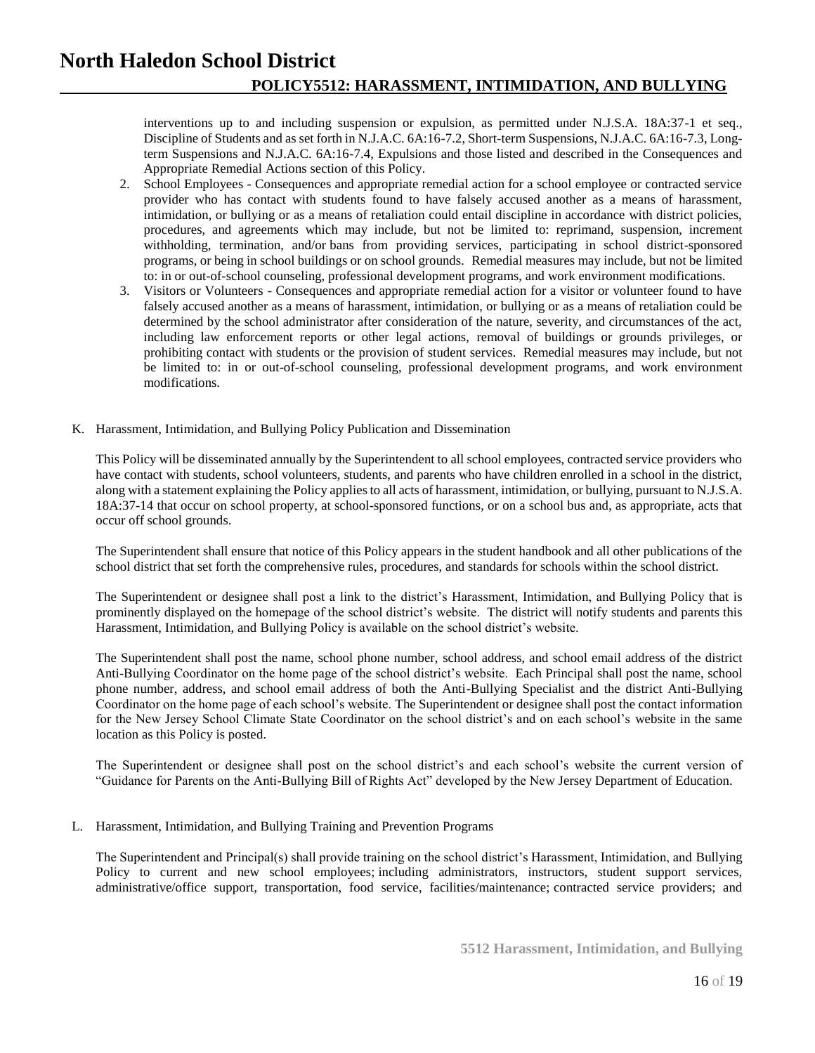interventions up to and including suspension or expulsion, as permitted under N.J.S.A. 18A:37-1 et seq., Discipline of Students and as set forth in N.J.A.C. 6A:16-7.2, Short-term Suspensions, N.J.A.C. 6A:16-7.3, Longterm Suspensions and N.J.A.C. 6A:16-7.4, Expulsions and those listed and described in the Consequences and Appropriate Remedial Actions section of this Policy.

- 2. School Employees Consequences and appropriate remedial action for a school employee or contracted service provider who has contact with students found to have falsely accused another as a means of harassment, intimidation, or bullying or as a means of retaliation could entail discipline in accordance with district policies, procedures, and agreements which may include, but not be limited to: reprimand, suspension, increment withholding, termination, and/or bans from providing services, participating in school district-sponsored programs, or being in school buildings or on school grounds. Remedial measures may include, but not be limited to: in or out-of-school counseling, professional development programs, and work environment modifications.
- 3. Visitors or Volunteers Consequences and appropriate remedial action for a visitor or volunteer found to have falsely accused another as a means of harassment, intimidation, or bullying or as a means of retaliation could be determined by the school administrator after consideration of the nature, severity, and circumstances of the act, including law enforcement reports or other legal actions, removal of buildings or grounds privileges, or prohibiting contact with students or the provision of student services. Remedial measures may include, but not be limited to: in or out-of-school counseling, professional development programs, and work environment modifications.
- K. Harassment, Intimidation, and Bullying Policy Publication and Dissemination

This Policy will be disseminated annually by the Superintendent to all school employees, contracted service providers who have contact with students, school volunteers, students, and parents who have children enrolled in a school in the district, along with a statement explaining the Policy applies to all acts of harassment, intimidation, or bullying, pursuant to N.J.S.A. 18A:37-14 that occur on school property, at school-sponsored functions, or on a school bus and, as appropriate, acts that occur off school grounds.

The Superintendent shall ensure that notice of this Policy appears in the student handbook and all other publications of the school district that set forth the comprehensive rules, procedures, and standards for schools within the school district.

The Superintendent or designee shall post a link to the district's Harassment, Intimidation, and Bullying Policy that is prominently displayed on the homepage of the school district's website. The district will notify students and parents this Harassment, Intimidation, and Bullying Policy is available on the school district's website.

The Superintendent shall post the name, school phone number, school address, and school email address of the district Anti-Bullying Coordinator on the home page of the school district's website. Each Principal shall post the name, school phone number, address, and school email address of both the Anti-Bullying Specialist and the district Anti-Bullying Coordinator on the home page of each school's website. The Superintendent or designee shall post the contact information for the New Jersey School Climate State Coordinator on the school district's and on each school's website in the same location as this Policy is posted.

The Superintendent or designee shall post on the school district's and each school's website the current version of "Guidance for Parents on the Anti-Bullying Bill of Rights Act" developed by the New Jersey Department of Education.

## L. Harassment, Intimidation, and Bullying Training and Prevention Programs

The Superintendent and Principal(s) shall provide training on the school district's Harassment, Intimidation, and Bullying Policy to current and new school employees; including administrators, instructors, student support services, administrative/office support, transportation, food service, facilities/maintenance; contracted service providers; and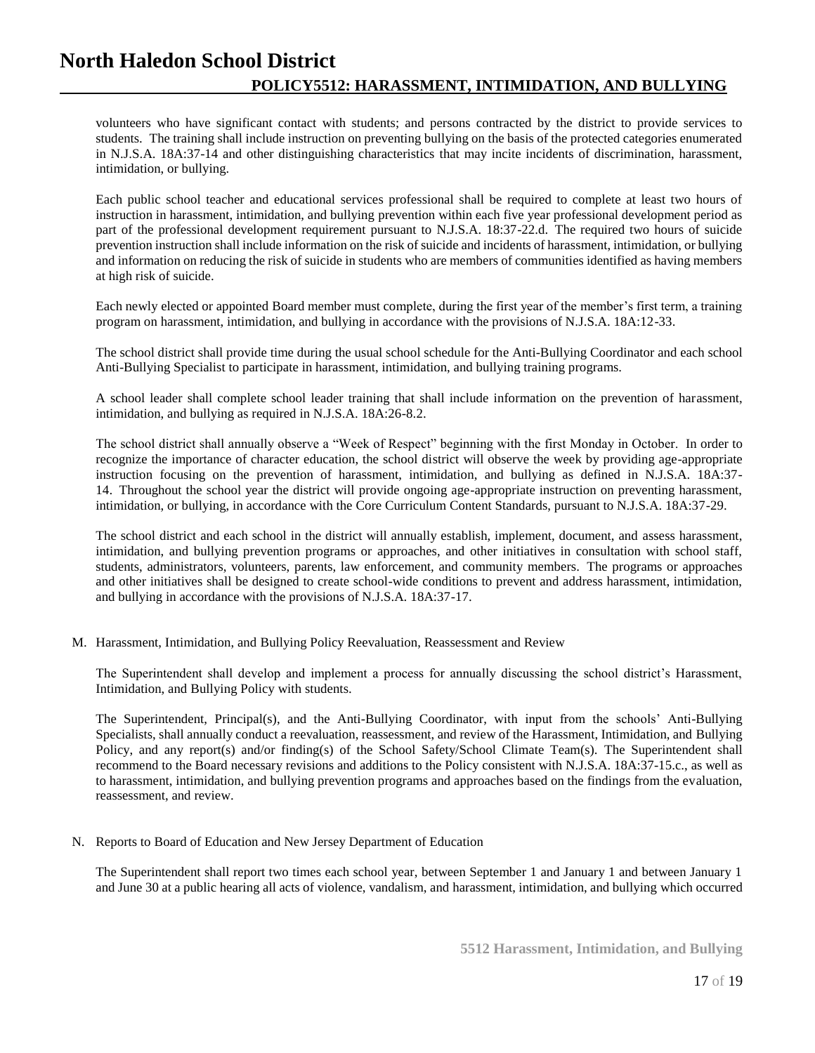volunteers who have significant contact with students; and persons contracted by the district to provide services to students. The training shall include instruction on preventing bullying on the basis of the protected categories enumerated in N.J.S.A. 18A:37-14 and other distinguishing characteristics that may incite incidents of discrimination, harassment, intimidation, or bullying.

Each public school teacher and educational services professional shall be required to complete at least two hours of instruction in harassment, intimidation, and bullying prevention within each five year professional development period as part of the professional development requirement pursuant to N.J.S.A. 18:37-22.d. The required two hours of suicide prevention instruction shall include information on the risk of suicide and incidents of harassment, intimidation, or bullying and information on reducing the risk of suicide in students who are members of communities identified as having members at high risk of suicide.

Each newly elected or appointed Board member must complete, during the first year of the member's first term, a training program on harassment, intimidation, and bullying in accordance with the provisions of N.J.S.A. 18A:12-33.

The school district shall provide time during the usual school schedule for the Anti-Bullying Coordinator and each school Anti-Bullying Specialist to participate in harassment, intimidation, and bullying training programs.

A school leader shall complete school leader training that shall include information on the prevention of harassment, intimidation, and bullying as required in N.J.S.A. 18A:26-8.2.

The school district shall annually observe a "Week of Respect" beginning with the first Monday in October. In order to recognize the importance of character education, the school district will observe the week by providing age-appropriate instruction focusing on the prevention of harassment, intimidation, and bullying as defined in N.J.S.A. 18A:37- 14. Throughout the school year the district will provide ongoing age-appropriate instruction on preventing harassment, intimidation, or bullying, in accordance with the Core Curriculum Content Standards, pursuant to N.J.S.A. 18A:37-29.

The school district and each school in the district will annually establish, implement, document, and assess harassment, intimidation, and bullying prevention programs or approaches, and other initiatives in consultation with school staff, students, administrators, volunteers, parents, law enforcement, and community members. The programs or approaches and other initiatives shall be designed to create school-wide conditions to prevent and address harassment, intimidation, and bullying in accordance with the provisions of N.J.S.A. 18A:37-17.

M. Harassment, Intimidation, and Bullying Policy Reevaluation, Reassessment and Review

The Superintendent shall develop and implement a process for annually discussing the school district's Harassment, Intimidation, and Bullying Policy with students.

The Superintendent, Principal(s), and the Anti-Bullying Coordinator, with input from the schools' Anti-Bullying Specialists, shall annually conduct a reevaluation, reassessment, and review of the Harassment, Intimidation, and Bullying Policy, and any report(s) and/or finding(s) of the School Safety/School Climate Team(s). The Superintendent shall recommend to the Board necessary revisions and additions to the Policy consistent with N.J.S.A. 18A:37-15.c., as well as to harassment, intimidation, and bullying prevention programs and approaches based on the findings from the evaluation, reassessment, and review.

N. Reports to Board of Education and New Jersey Department of Education

The Superintendent shall report two times each school year, between September 1 and January 1 and between January 1 and June 30 at a public hearing all acts of violence, vandalism, and harassment, intimidation, and bullying which occurred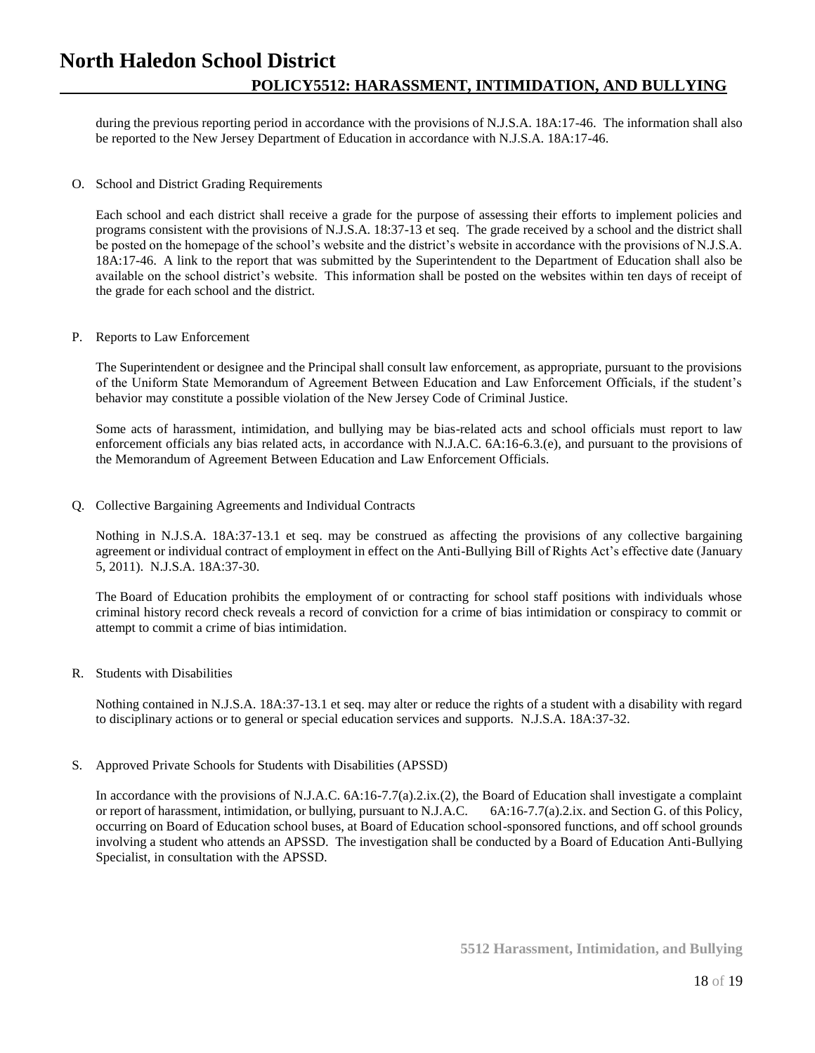during the previous reporting period in accordance with the provisions of N.J.S.A. 18A:17-46. The information shall also be reported to the New Jersey Department of Education in accordance with N.J.S.A. 18A:17-46.

O. School and District Grading Requirements

Each school and each district shall receive a grade for the purpose of assessing their efforts to implement policies and programs consistent with the provisions of N.J.S.A. 18:37-13 et seq. The grade received by a school and the district shall be posted on the homepage of the school's website and the district's website in accordance with the provisions of N.J.S.A. 18A:17-46. A link to the report that was submitted by the Superintendent to the Department of Education shall also be available on the school district's website. This information shall be posted on the websites within ten days of receipt of the grade for each school and the district.

## P. Reports to Law Enforcement

The Superintendent or designee and the Principal shall consult law enforcement, as appropriate, pursuant to the provisions of the Uniform State Memorandum of Agreement Between Education and Law Enforcement Officials, if the student's behavior may constitute a possible violation of the New Jersey Code of Criminal Justice.

Some acts of harassment, intimidation, and bullying may be bias-related acts and school officials must report to law enforcement officials any bias related acts, in accordance with N.J.A.C. 6A:16-6.3.(e), and pursuant to the provisions of the Memorandum of Agreement Between Education and Law Enforcement Officials.

Q. Collective Bargaining Agreements and Individual Contracts

Nothing in N.J.S.A. 18A:37-13.1 et seq. may be construed as affecting the provisions of any collective bargaining agreement or individual contract of employment in effect on the Anti-Bullying Bill of Rights Act's effective date (January 5, 2011). N.J.S.A. 18A:37-30.

The Board of Education prohibits the employment of or contracting for school staff positions with individuals whose criminal history record check reveals a record of conviction for a crime of bias intimidation or conspiracy to commit or attempt to commit a crime of bias intimidation.

## R. Students with Disabilities

Nothing contained in N.J.S.A. 18A:37-13.1 et seq. may alter or reduce the rights of a student with a disability with regard to disciplinary actions or to general or special education services and supports. N.J.S.A. 18A:37-32.

S. Approved Private Schools for Students with Disabilities (APSSD)

In accordance with the provisions of N.J.A.C. 6A:16-7.7(a).2.ix.(2), the Board of Education shall investigate a complaint or report of harassment, intimidation, or bullying, pursuant to N.J.A.C. 6A:16-7.7(a).2.ix. and Section G. of this Policy, occurring on Board of Education school buses, at Board of Education school-sponsored functions, and off school grounds involving a student who attends an APSSD. The investigation shall be conducted by a Board of Education Anti-Bullying Specialist, in consultation with the APSSD.